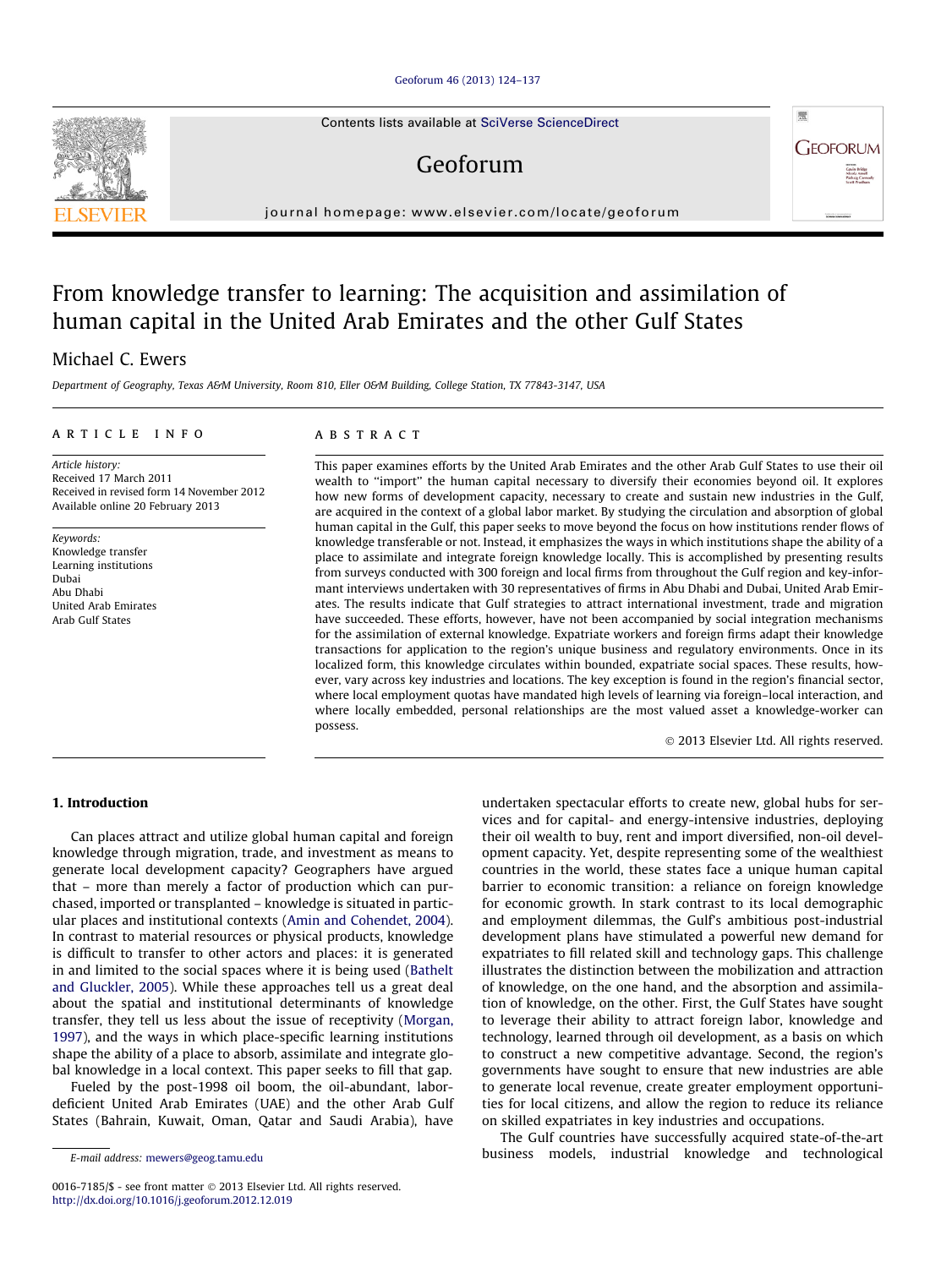# [Geoforum 46 \(2013\) 124–137](http://dx.doi.org/10.1016/j.geoforum.2012.12.019)

Contents lists available at [SciVerse ScienceDirect](http://www.sciencedirect.com/science/journal/00167185)

# Geoforum

journal homepage: [www.elsevier.com/locate/geoforum](http://www.elsevier.com/locate/geoforum)

# From knowledge transfer to learning: The acquisition and assimilation of human capital in the United Arab Emirates and the other Gulf States

# Michael C. Ewers

Department of Geography, Texas A&M University, Room 810, Eller O&M Building, College Station, TX 77843-3147, USA

## article info

Article history: Received 17 March 2011 Received in revised form 14 November 2012 Available online 20 February 2013

Keywords: Knowledge transfer Learning institutions Dubai Abu Dhabi United Arab Emirates Arab Gulf States

#### **ABSTRACT**

This paper examines efforts by the United Arab Emirates and the other Arab Gulf States to use their oil wealth to ''import'' the human capital necessary to diversify their economies beyond oil. It explores how new forms of development capacity, necessary to create and sustain new industries in the Gulf, are acquired in the context of a global labor market. By studying the circulation and absorption of global human capital in the Gulf, this paper seeks to move beyond the focus on how institutions render flows of knowledge transferable or not. Instead, it emphasizes the ways in which institutions shape the ability of a place to assimilate and integrate foreign knowledge locally. This is accomplished by presenting results from surveys conducted with 300 foreign and local firms from throughout the Gulf region and key-informant interviews undertaken with 30 representatives of firms in Abu Dhabi and Dubai, United Arab Emirates. The results indicate that Gulf strategies to attract international investment, trade and migration have succeeded. These efforts, however, have not been accompanied by social integration mechanisms for the assimilation of external knowledge. Expatriate workers and foreign firms adapt their knowledge transactions for application to the region's unique business and regulatory environments. Once in its localized form, this knowledge circulates within bounded, expatriate social spaces. These results, however, vary across key industries and locations. The key exception is found in the region's financial sector, where local employment quotas have mandated high levels of learning via foreign–local interaction, and where locally embedded, personal relationships are the most valued asset a knowledge-worker can possess.

- 2013 Elsevier Ltd. All rights reserved.

# 1. Introduction

Can places attract and utilize global human capital and foreign knowledge through migration, trade, and investment as means to generate local development capacity? Geographers have argued that – more than merely a factor of production which can purchased, imported or transplanted – knowledge is situated in particular places and institutional contexts ([Amin and Cohendet, 2004\)](#page--1-0). In contrast to material resources or physical products, knowledge is difficult to transfer to other actors and places: it is generated in and limited to the social spaces where it is being used ([Bathelt](#page--1-0) [and Gluckler, 2005\)](#page--1-0). While these approaches tell us a great deal about the spatial and institutional determinants of knowledge transfer, they tell us less about the issue of receptivity ([Morgan,](#page--1-0) [1997\)](#page--1-0), and the ways in which place-specific learning institutions shape the ability of a place to absorb, assimilate and integrate global knowledge in a local context. This paper seeks to fill that gap.

Fueled by the post-1998 oil boom, the oil-abundant, labordeficient United Arab Emirates (UAE) and the other Arab Gulf States (Bahrain, Kuwait, Oman, Qatar and Saudi Arabia), have undertaken spectacular efforts to create new, global hubs for services and for capital- and energy-intensive industries, deploying their oil wealth to buy, rent and import diversified, non-oil development capacity. Yet, despite representing some of the wealthiest countries in the world, these states face a unique human capital barrier to economic transition: a reliance on foreign knowledge for economic growth. In stark contrast to its local demographic and employment dilemmas, the Gulf's ambitious post-industrial development plans have stimulated a powerful new demand for expatriates to fill related skill and technology gaps. This challenge illustrates the distinction between the mobilization and attraction of knowledge, on the one hand, and the absorption and assimilation of knowledge, on the other. First, the Gulf States have sought to leverage their ability to attract foreign labor, knowledge and technology, learned through oil development, as a basis on which to construct a new competitive advantage. Second, the region's governments have sought to ensure that new industries are able to generate local revenue, create greater employment opportunities for local citizens, and allow the region to reduce its reliance on skilled expatriates in key industries and occupations.

The Gulf countries have successfully acquired state-of-the-art business models, industrial knowledge and technological





E-mail address: [mewers@geog.tamu.edu](mailto:mewers@geog.tamu.edu)

<sup>0016-7185/\$ -</sup> see front matter © 2013 Elsevier Ltd. All rights reserved. <http://dx.doi.org/10.1016/j.geoforum.2012.12.019>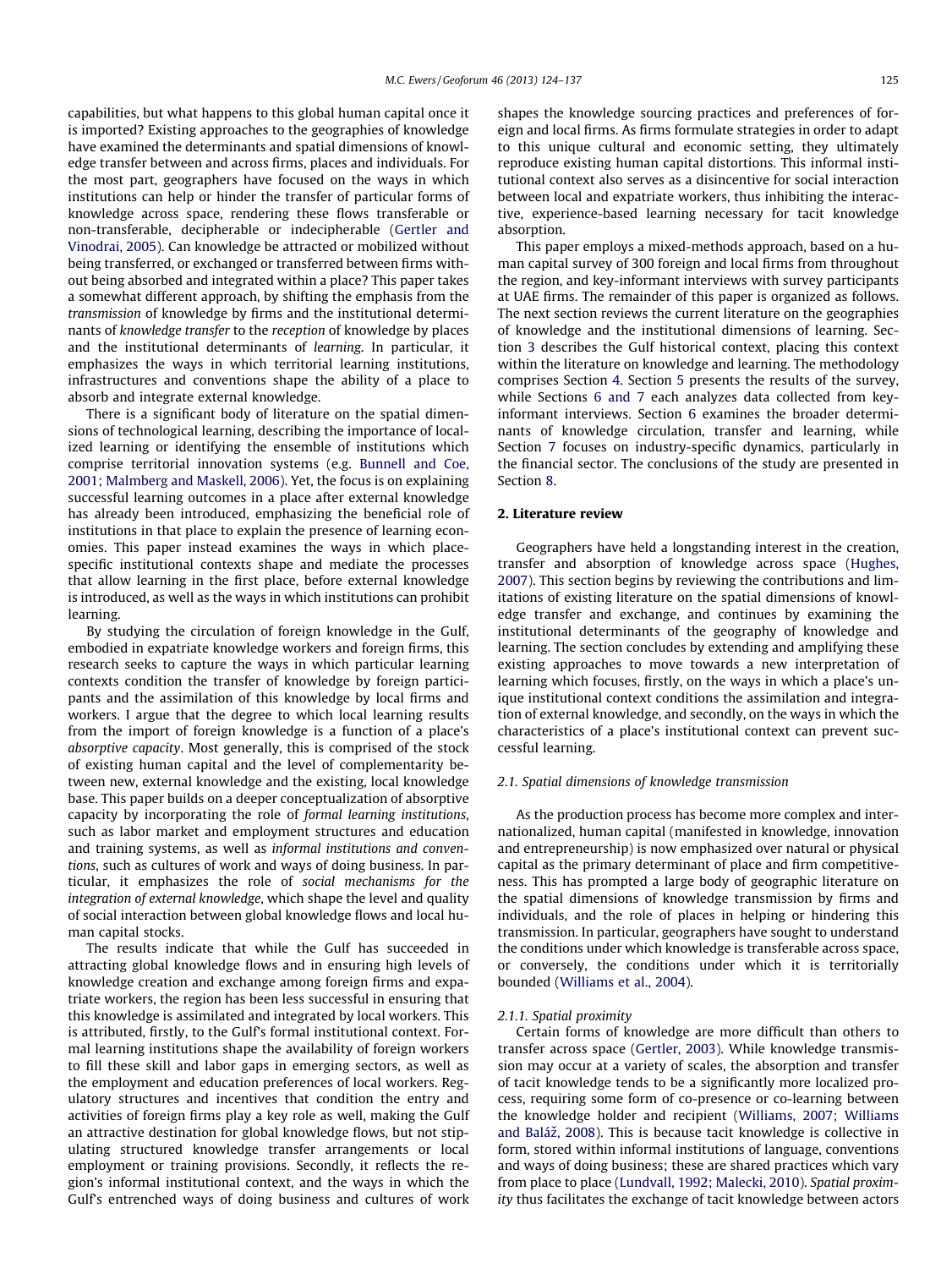capabilities, but what happens to this global human capital once it is imported? Existing approaches to the geographies of knowledge have examined the determinants and spatial dimensions of knowledge transfer between and across firms, places and individuals. For the most part, geographers have focused on the ways in which institutions can help or hinder the transfer of particular forms of knowledge across space, rendering these flows transferable or non-transferable, decipherable or indecipherable [\(Gertler and](#page--1-0) [Vinodrai, 2005](#page--1-0)). Can knowledge be attracted or mobilized without being transferred, or exchanged or transferred between firms without being absorbed and integrated within a place? This paper takes a somewhat different approach, by shifting the emphasis from the transmission of knowledge by firms and the institutional determinants of knowledge transfer to the reception of knowledge by places and the institutional determinants of learning. In particular, it emphasizes the ways in which territorial learning institutions, infrastructures and conventions shape the ability of a place to absorb and integrate external knowledge.

There is a significant body of literature on the spatial dimensions of technological learning, describing the importance of localized learning or identifying the ensemble of institutions which comprise territorial innovation systems (e.g. [Bunnell and Coe,](#page--1-0) [2001; Malmberg and Maskell, 2006](#page--1-0)). Yet, the focus is on explaining successful learning outcomes in a place after external knowledge has already been introduced, emphasizing the beneficial role of institutions in that place to explain the presence of learning economies. This paper instead examines the ways in which placespecific institutional contexts shape and mediate the processes that allow learning in the first place, before external knowledge is introduced, as well as the ways in which institutions can prohibit learning.

By studying the circulation of foreign knowledge in the Gulf, embodied in expatriate knowledge workers and foreign firms, this research seeks to capture the ways in which particular learning contexts condition the transfer of knowledge by foreign participants and the assimilation of this knowledge by local firms and workers. I argue that the degree to which local learning results from the import of foreign knowledge is a function of a place's absorptive capacity. Most generally, this is comprised of the stock of existing human capital and the level of complementarity between new, external knowledge and the existing, local knowledge base. This paper builds on a deeper conceptualization of absorptive capacity by incorporating the role of formal learning institutions, such as labor market and employment structures and education and training systems, as well as informal institutions and conventions, such as cultures of work and ways of doing business. In particular, it emphasizes the role of social mechanisms for the integration of external knowledge, which shape the level and quality of social interaction between global knowledge flows and local human capital stocks.

The results indicate that while the Gulf has succeeded in attracting global knowledge flows and in ensuring high levels of knowledge creation and exchange among foreign firms and expatriate workers, the region has been less successful in ensuring that this knowledge is assimilated and integrated by local workers. This is attributed, firstly, to the Gulf's formal institutional context. Formal learning institutions shape the availability of foreign workers to fill these skill and labor gaps in emerging sectors, as well as the employment and education preferences of local workers. Regulatory structures and incentives that condition the entry and activities of foreign firms play a key role as well, making the Gulf an attractive destination for global knowledge flows, but not stipulating structured knowledge transfer arrangements or local employment or training provisions. Secondly, it reflects the region's informal institutional context, and the ways in which the Gulf's entrenched ways of doing business and cultures of work shapes the knowledge sourcing practices and preferences of foreign and local firms. As firms formulate strategies in order to adapt to this unique cultural and economic setting, they ultimately reproduce existing human capital distortions. This informal institutional context also serves as a disincentive for social interaction between local and expatriate workers, thus inhibiting the interactive, experience-based learning necessary for tacit knowledge absorption

This paper employs a mixed-methods approach, based on a human capital survey of 300 foreign and local firms from throughout the region, and key-informant interviews with survey participants at UAE firms. The remainder of this paper is organized as follows. The next section reviews the current literature on the geographies of knowledge and the institutional dimensions of learning. Section [3](#page--1-0) describes the Gulf historical context, placing this context within the literature on knowledge and learning. The methodology comprises Section [4](#page--1-0). Section [5](#page--1-0) presents the results of the survey, while Sections [6 and 7](#page--1-0) each analyzes data collected from keyinformant interviews. Section [6](#page--1-0) examines the broader determinants of knowledge circulation, transfer and learning, while Section [7](#page--1-0) focuses on industry-specific dynamics, particularly in the financial sector. The conclusions of the study are presented in Section [8](#page--1-0).

# 2. Literature review

Geographers have held a longstanding interest in the creation, transfer and absorption of knowledge across space [\(Hughes,](#page--1-0) [2007](#page--1-0)). This section begins by reviewing the contributions and limitations of existing literature on the spatial dimensions of knowledge transfer and exchange, and continues by examining the institutional determinants of the geography of knowledge and learning. The section concludes by extending and amplifying these existing approaches to move towards a new interpretation of learning which focuses, firstly, on the ways in which a place's unique institutional context conditions the assimilation and integration of external knowledge, and secondly, on the ways in which the characteristics of a place's institutional context can prevent successful learning.

# 2.1. Spatial dimensions of knowledge transmission

As the production process has become more complex and internationalized, human capital (manifested in knowledge, innovation and entrepreneurship) is now emphasized over natural or physical capital as the primary determinant of place and firm competitiveness. This has prompted a large body of geographic literature on the spatial dimensions of knowledge transmission by firms and individuals, and the role of places in helping or hindering this transmission. In particular, geographers have sought to understand the conditions under which knowledge is transferable across space, or conversely, the conditions under which it is territorially bounded [\(Williams et al., 2004\)](#page--1-0).

## 2.1.1. Spatial proximity

Certain forms of knowledge are more difficult than others to transfer across space ([Gertler, 2003](#page--1-0)). While knowledge transmission may occur at a variety of scales, the absorption and transfer of tacit knowledge tends to be a significantly more localized process, requiring some form of co-presence or co-learning between the knowledge holder and recipient [\(Williams, 2007; Williams](#page--1-0) and Baláž, 2008). This is because tacit knowledge is collective in form, stored within informal institutions of language, conventions and ways of doing business; these are shared practices which vary from place to place ([Lundvall, 1992; Malecki, 2010](#page--1-0)). Spatial proximity thus facilitates the exchange of tacit knowledge between actors